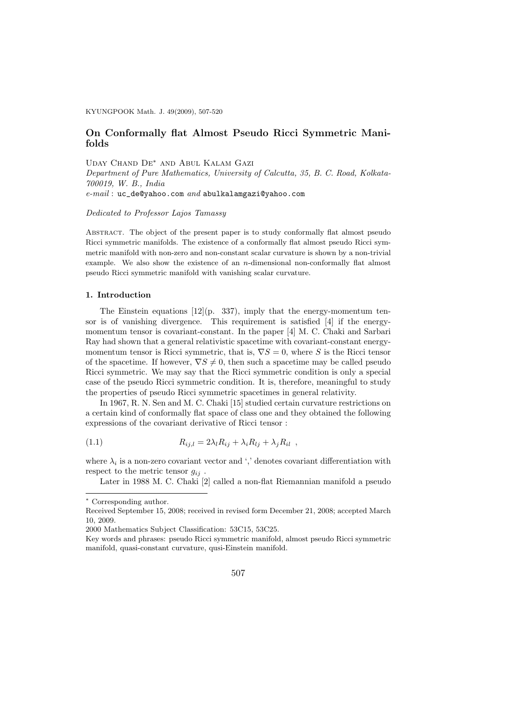KYUNGPOOK Math. J. 49(2009), 507-520

## On Conformally flat Almost Pseudo Ricci Symmetric Manifolds

Uday Chand De∗ and Abul Kalam Gazi

Department of Pure Mathematics, University of Calcutta, 35, B. C. Road, Kolkata-700019, W. B., India e-mail : uc\_de@yahoo.com and abulkalamgazi@yahoo.com

Dedicated to Professor Lajos Tamassy

Abstract. The object of the present paper is to study conformally flat almost pseudo Ricci symmetric manifolds. The existence of a conformally flat almost pseudo Ricci symmetric manifold with non-zero and non-constant scalar curvature is shown by a non-trivial example. We also show the existence of an n-dimensional non-conformally flat almost pseudo Ricci symmetric manifold with vanishing scalar curvature.

#### 1. Introduction

The Einstein equations  $[12](p. 337)$ , imply that the energy-momentum tensor is of vanishing divergence. This requirement is satisfied [4] if the energymomentum tensor is covariant-constant. In the paper [4] M. C. Chaki and Sarbari Ray had shown that a general relativistic spacetime with covariant-constant energymomentum tensor is Ricci symmetric, that is,  $\nabla S = 0$ , where S is the Ricci tensor of the spacetime. If however,  $\nabla S \neq 0$ , then such a spacetime may be called pseudo Ricci symmetric. We may say that the Ricci symmetric condition is only a special case of the pseudo Ricci symmetric condition. It is, therefore, meaningful to study the properties of pseudo Ricci symmetric spacetimes in general relativity.

In 1967, R. N. Sen and M. C. Chaki [15] studied certain curvature restrictions on a certain kind of conformally flat space of class one and they obtained the following expressions of the covariant derivative of Ricci tensor :

(1.1) 
$$
R_{ij,l} = 2\lambda_l R_{ij} + \lambda_i R_{lj} + \lambda_j R_{il} ,
$$

where  $\lambda_i$  is a non-zero covariant vector and ',' denotes covariant differentiation with respect to the metric tensor  $g_{ij}$ .

Later in 1988 M. C. Chaki [2] called a non-flat Riemannian manifold a pseudo

Key words and phrases: pseudo Ricci symmetric manifold, almost pseudo Ricci symmetric manifold, quasi-constant curvature, qusi-Einstein manifold.



<sup>∗</sup> Corresponding author.

Received September 15, 2008; received in revised form December 21, 2008; accepted March 10, 2009.

<sup>2000</sup> Mathematics Subject Classification: 53C15, 53C25.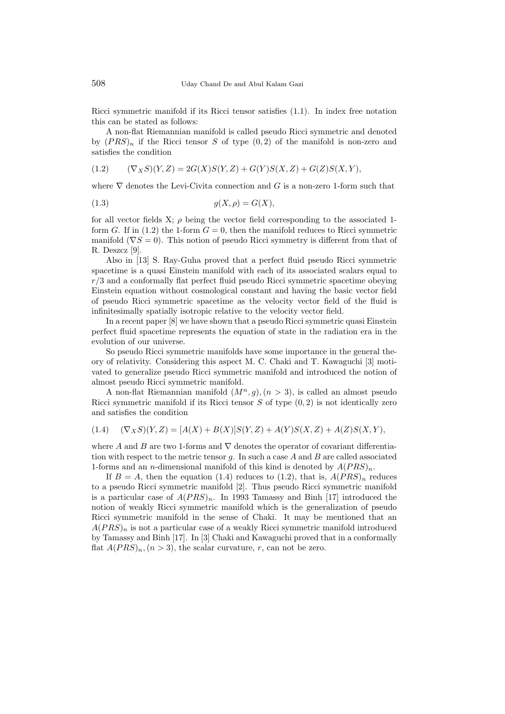Ricci symmetric manifold if its Ricci tensor satisfies (1.1). In index free notation this can be stated as follows:

A non-flat Riemannian manifold is called pseudo Ricci symmetric and denoted by  $(PRS)_n$  if the Ricci tensor S of type  $(0, 2)$  of the manifold is non-zero and satisfies the condition

$$
(1.2) \qquad (\nabla_X S)(Y,Z) = 2G(X)S(Y,Z) + G(Y)S(X,Z) + G(Z)S(X,Y),
$$

where  $\nabla$  denotes the Levi-Civita connection and G is a non-zero 1-form such that

$$
(1.3) \t\t g(X, \rho) = G(X),
$$

for all vector fields X;  $\rho$  being the vector field corresponding to the associated 1form G. If in (1.2) the 1-form  $G = 0$ , then the manifold reduces to Ricci symmetric manifold ( $\nabla S = 0$ ). This notion of pseudo Ricci symmetry is different from that of R. Deszcz [9].

Also in [13] S. Ray-Guha proved that a perfect fluid pseudo Ricci symmetric spacetime is a quasi Einstein manifold with each of its associated scalars equal to  $r/3$  and a conformally flat perfect fluid pseudo Ricci symmetric spacetime obeying Einstein equation without cosmological constant and having the basic vector field of pseudo Ricci symmetric spacetime as the velocity vector field of the fluid is infinitesimally spatially isotropic relative to the velocity vector field.

In a recent paper [8] we have shown that a pseudo Ricci symmetric quasi Einstein perfect fluid spacetime represents the equation of state in the radiation era in the evolution of our universe.

So pseudo Ricci symmetric manifolds have some importance in the general theory of relativity. Considering this aspect M. C. Chaki and T. Kawaguchi [3] motivated to generalize pseudo Ricci symmetric manifold and introduced the notion of almost pseudo Ricci symmetric manifold.

A non-flat Riemannian manifold  $(M^n, q)$ ,  $(n > 3)$ , is called an almost pseudo Ricci symmetric manifold if its Ricci tensor  $S$  of type  $(0, 2)$  is not identically zero and satisfies the condition

$$
(1.4) \quad (\nabla_X S)(Y,Z) = [A(X) + B(X)]S(Y,Z) + A(Y)S(X,Z) + A(Z)S(X,Y),
$$

where A and B are two 1-forms and  $\nabla$  denotes the operator of covariant differentiation with respect to the metric tensor  $q$ . In such a case  $A$  and  $B$  are called associated 1-forms and an *n*-dimensional manifold of this kind is denoted by  $A(PRS)<sub>n</sub>$ .

If  $B = A$ , then the equation (1.4) reduces to (1.2), that is,  $A(PRS)<sub>n</sub>$  reduces to a pseudo Ricci symmetric manifold [2]. Thus pseudo Ricci symmetric manifold is a particular case of  $A(PRS)_n$ . In 1993 Tamassy and Binh [17] introduced the notion of weakly Ricci symmetric manifold which is the generalization of pseudo Ricci symmetric manifold in the sense of Chaki. It may be mentioned that an  $A(PRS)_n$  is not a particular case of a weakly Ricci symmetric manifold introduced by Tamassy and Binh [17]. In [3] Chaki and Kawaguchi proved that in a conformally flat  $A(PRS)_n, (n > 3)$ , the scalar curvature, r, can not be zero.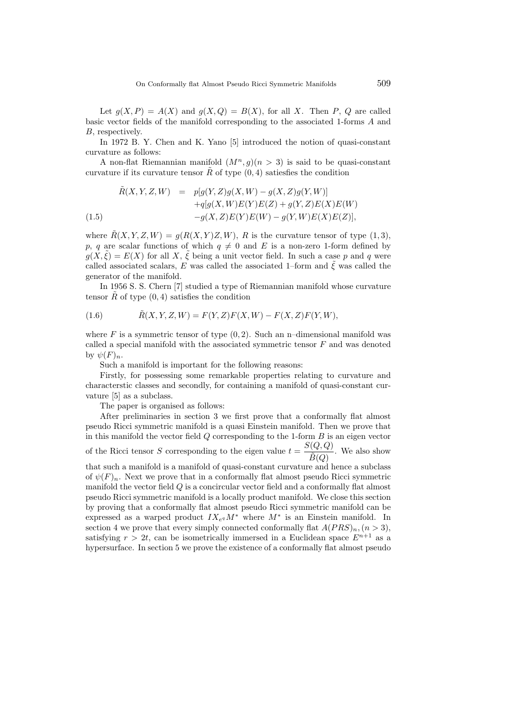Let  $q(X, P) = A(X)$  and  $q(X, Q) = B(X)$ , for all X. Then P, Q are called basic vector fields of the manifold corresponding to the associated 1-forms A and B, respectively.

In 1972 B. Y. Chen and K. Yano [5] introduced the notion of quasi-constant curvature as follows:

A non-flat Riemannian manifold  $(M^n, g)(n > 3)$  is said to be quasi-constant curvature if its curvature tensor  $\tilde{R}$  of type  $(0, 4)$  satiesfies the condition

$$
\tilde{R}(X, Y, Z, W) = p[g(Y, Z)g(X, W) - g(X, Z)g(Y, W)] \n+q[g(X, W)E(Y)E(Z) + g(Y, Z)E(X)E(W) \n-g(X, Z)E(Y)E(W) - g(Y, W)E(X)E(Z)],
$$

where  $\tilde{R}(X, Y, Z, W) = g(R(X, Y)Z, W)$ , R is the curvature tensor of type  $(1, 3)$ , p, q are scalar functions of which  $q \neq 0$  and E is a non-zero 1-form defined by  $g(X, \tilde{\xi}) = E(X)$  for all X,  $\tilde{\xi}$  being a unit vector field. In such a case p and q were called associated scalars, E was called the associated 1–form and  $\xi$  was called the generator of the manifold.

In 1956 S. S. Chern [7] studied a type of Riemannian manifold whose curvature tensor R of type  $(0, 4)$  satisfies the condition

(1.6) 
$$
\tilde{R}(X, Y, Z, W) = F(Y, Z)F(X, W) - F(X, Z)F(Y, W),
$$

where  $F$  is a symmetric tensor of type  $(0, 2)$ . Such an n-dimensional manifold was called a special manifold with the associated symmetric tensor F and was denoted by  $\psi(F)_n$ .

Such a manifold is important for the following reasons:

Firstly, for possessing some remarkable properties relating to curvature and characterstic classes and secondly, for containing a manifold of quasi-constant curvature [5] as a subclass.

The paper is organised as follows:

After preliminaries in section 3 we first prove that a conformally flat almost pseudo Ricci symmetric manifold is a quasi Einstein manifold. Then we prove that in this manifold the vector field  $Q$  corresponding to the 1-form  $B$  is an eigen vector of the Ricci tensor S corresponding to the eigen value  $t = \frac{S(Q, Q)}{S(Q)}$  $\frac{\overline{X}(\mathcal{Q})}{\widetilde{B}(Q)}$ . We also show that such a manifold is a manifold of quasi-constant curvature and hence a subclass of  $\psi(F)_n$ . Next we prove that in a conformally flat almost pseudo Ricci symmetric manifold the vector field Q is a concircular vector field and a conformally flat almost pseudo Ricci symmetric manifold is a locally product manifold. We close this section by proving that a conformally flat almost pseudo Ricci symmetric manifold can be expressed as a warped product  $IX_{e}aM^*$  where  $M^*$  is an Einstein manifold. In section 4 we prove that every simply connected conformally flat  $A(PRS)<sub>n</sub>, (n > 3)$ , satisfying  $r > 2t$ , can be isometrically immersed in a Euclidean space  $E^{n+1}$  as a hypersurface. In section 5 we prove the existence of a conformally flat almost pseudo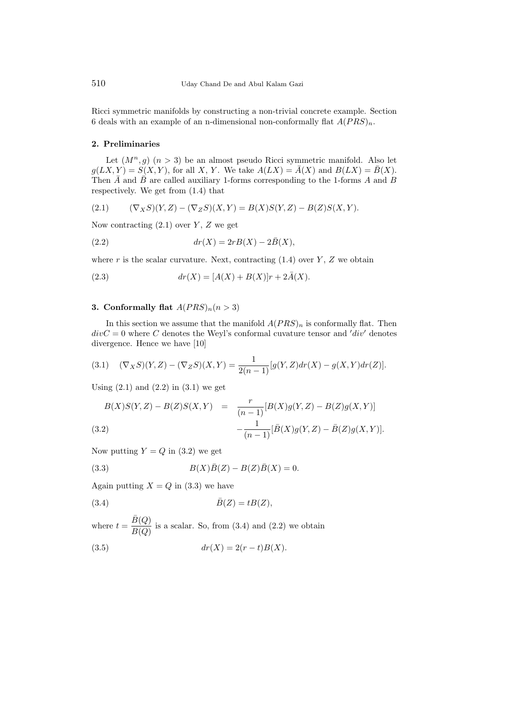Ricci symmetric manifolds by constructing a non-trivial concrete example. Section 6 deals with an example of an n-dimensional non-conformally flat  $A(PRS)<sub>n</sub>$ .

## 2. Preliminaries

Let  $(M^n, g)$   $(n > 3)$  be an almost pseudo Ricci symmetric manifold. Also let  $g(LX, Y) = S(X, Y)$ , for all X, Y. We take  $A(LX) = \overline{A}(X)$  and  $B(LX) = \overline{B}(X)$ . Then  $\overline{A}$  and  $\overline{B}$  are called auxiliary 1-forms corresponding to the 1-forms A and B respectively. We get from (1.4) that

(2.1) 
$$
(\nabla_X S)(Y,Z) - (\nabla_Z S)(X,Y) = B(X)S(Y,Z) - B(Z)S(X,Y).
$$

Now contracting  $(2.1)$  over Y, Z we get

$$
(2.2) \t dr(X) = 2rB(X) - 2\bar{B}(X),
$$

where  $r$  is the scalar curvature. Next, contracting  $(1.4)$  over  $Y$ ,  $Z$  we obtain

(2.3) 
$$
dr(X) = [A(X) + B(X)]r + 2\bar{A}(X).
$$

### 3. Conformally flat  $A(PRS)<sub>n</sub>(n > 3)$

In this section we assume that the manifold  $A(PRS)_n$  is conformally flat. Then  $divC = 0$  where C denotes the Weyl's conformal cuvature tensor and 'div' denotes divergence. Hence we have [10]

(3.1) 
$$
(\nabla_X S)(Y,Z) - (\nabla_Z S)(X,Y) = \frac{1}{2(n-1)}[g(Y,Z)dr(X) - g(X,Y)dr(Z)].
$$

Using  $(2.1)$  and  $(2.2)$  in  $(3.1)$  we get

$$
B(X)S(Y,Z) - B(Z)S(X,Y) = \frac{r}{(n-1)}[B(X)g(Y,Z) - B(Z)g(X,Y)] - \frac{1}{(n-1)}[\bar{B}(X)g(Y,Z) - \bar{B}(Z)g(X,Y)].
$$
\n(3.2)

Now putting  $Y = Q$  in (3.2) we get

(3.3) 
$$
B(X)\bar{B}(Z) - B(Z)\bar{B}(X) = 0.
$$

Again putting  $X = Q$  in (3.3) we have

$$
\bar{B}(Z) = tB(Z),
$$

where  $t = \frac{\bar{B}(Q)}{B(Q)}$  $\frac{B(q)}{B(Q)}$  is a scalar. So, from (3.4) and (2.2) we obtain (3.5)  $dr(X) = 2(r - t)B(X).$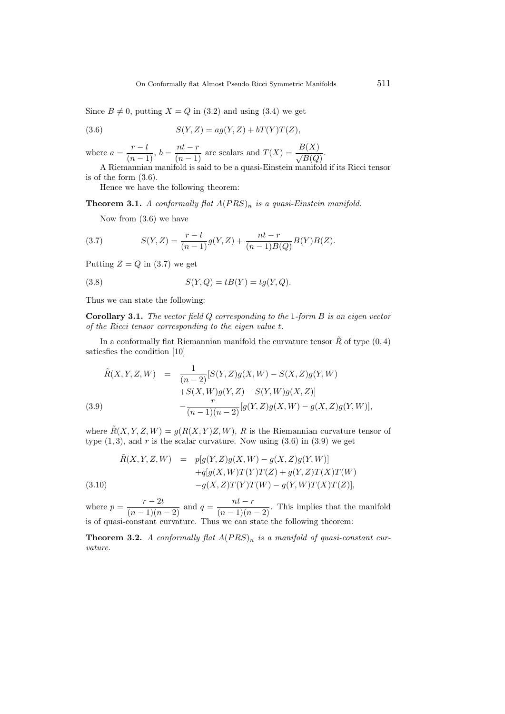Since  $B \neq 0$ , putting  $X = Q$  in (3.2) and using (3.4) we get

(3.6) 
$$
S(Y, Z) = ag(Y, Z) + bT(Y)T(Z),
$$

where  $a = \frac{r-t}{(n-1)}$ ,  $b = \frac{nt-r}{(n-1)}$  are scalars and  $T(X) = \frac{B(X)}{\sqrt{B(Q)}}$ .

A Riemannian manifold is said to be a quasi-Einstein manifold if its Ricci tensor is of the form (3.6).

Hence we have the following theorem:

**Theorem 3.1.** A conformally flat  $A(PRS)_n$  is a quasi-Einstein manifold.

Now from (3.6) we have

(3.7) 
$$
S(Y,Z) = \frac{r-t}{(n-1)}g(Y,Z) + \frac{nt-r}{(n-1)B(Q)}B(Y)B(Z).
$$

Putting  $Z = Q$  in (3.7) we get

(3.8) 
$$
S(Y,Q) = tB(Y) = tg(Y,Q).
$$

Thus we can state the following:

**Corollary 3.1.** The vector field  $Q$  corresponding to the 1-form  $B$  is an eigen vector of the Ricci tensor corresponding to the eigen value t.

In a conformally flat Riemannian manifold the curvature tensor  $\tilde{R}$  of type  $(0, 4)$ satiesfies the condition [10]

$$
\tilde{R}(X, Y, Z, W) = \frac{1}{(n-2)} [S(Y, Z)g(X, W) - S(X, Z)g(Y, W) \n+ S(X, W)g(Y, Z) - S(Y, W)g(X, Z)] \n- \frac{r}{(n-1)(n-2)} [g(Y, Z)g(X, W) - g(X, Z)g(Y, W)],
$$

where  $\tilde{R}(X, Y, Z, W) = g(R(X, Y)Z, W), R$  is the Riemannian curvature tensor of type  $(1, 3)$ , and r is the scalar curvature. Now using  $(3.6)$  in  $(3.9)$  we get

(3.10)  
\n
$$
\tilde{R}(X, Y, Z, W) = p[g(Y, Z)g(X, W) - g(X, Z)g(Y, W)] + q[g(X, W)T(Y)T(Z) + g(Y, Z)T(X)T(W) - g(X, Z)T(Y)T(W) - g(Y, W)T(X)T(Z)],
$$

where  $p = \frac{r-2t}{(n-1)(n-2)}$  and  $q = \frac{nt-r}{(n-1)(n-2)}$ . This implies that the manifold is of quasi-constant curvature. Thus we can state the following theorem:

**Theorem 3.2.** A conformally flat  $A(PRS)_n$  is a manifold of quasi-constant curvature.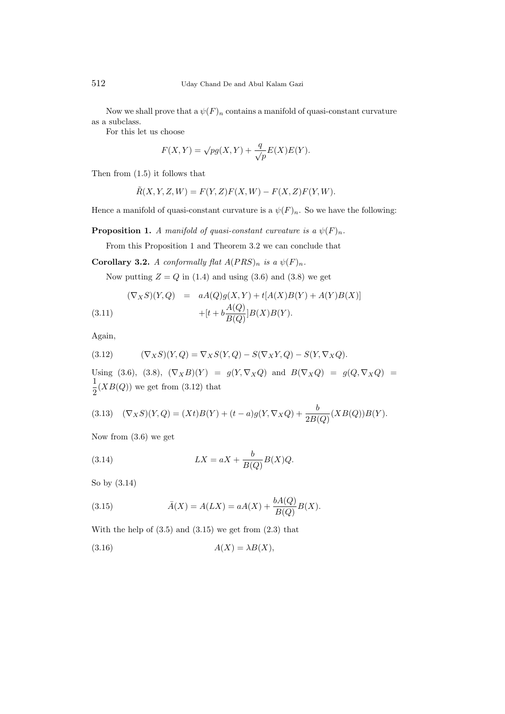Now we shall prove that a  $\psi(F)_n$  contains a manifold of quasi-constant curvature as a subclass.

For this let us choose

$$
F(X,Y) = \sqrt{pg(X,Y)} + \frac{q}{\sqrt{p}}E(X)E(Y).
$$

Then from (1.5) it follows that

$$
\tilde{R}(X,Y,Z,W) = F(Y,Z)F(X,W) - F(X,Z)F(Y,W).
$$

Hence a manifold of quasi-constant curvature is a  $\psi(F)_n$ . So we have the following:

**Proposition 1.** A manifold of quasi-constant curvature is a  $\psi(F)_n$ .

From this Proposition 1 and Theorem 3.2 we can conclude that

Corollary 3.2. A conformally flat  $A(PRS)_n$  is a  $\psi(F)_n$ .

Now putting  $Z = Q$  in (1.4) and using (3.6) and (3.8) we get

(3.11) 
$$
(\nabla_X S)(Y, Q) = aA(Q)g(X, Y) + t[A(X)B(Y) + A(Y)B(X)] + [t + b\frac{A(Q)}{B(Q)}]B(X)B(Y).
$$

Again,

(3.12) 
$$
(\nabla_X S)(Y,Q) = \nabla_X S(Y,Q) - S(\nabla_X Y,Q) - S(Y, \nabla_X Q).
$$

Using (3.6), (3.8),  $(\nabla_X B)(Y) = g(Y, \nabla_X Q)$  and  $B(\nabla_X Q) = g(Q, \nabla_X Q)$ 1  $\frac{1}{2}(XB(Q))$  we get from (3.12) that

(3.13) 
$$
(\nabla_X S)(Y,Q) = (Xt)B(Y) + (t-a)g(Y, \nabla_X Q) + \frac{b}{2B(Q)}(XB(Q))B(Y).
$$

Now from (3.6) we get

(3.14) 
$$
LX = aX + \frac{b}{B(Q)}B(X)Q.
$$

So by (3.14)

(3.15) 
$$
\bar{A}(X) = A(LX) = aA(X) + \frac{bA(Q)}{B(Q)}B(X).
$$

With the help of  $(3.5)$  and  $(3.15)$  we get from  $(2.3)$  that

$$
(3.16)\quad A(X) = \lambda B(X),
$$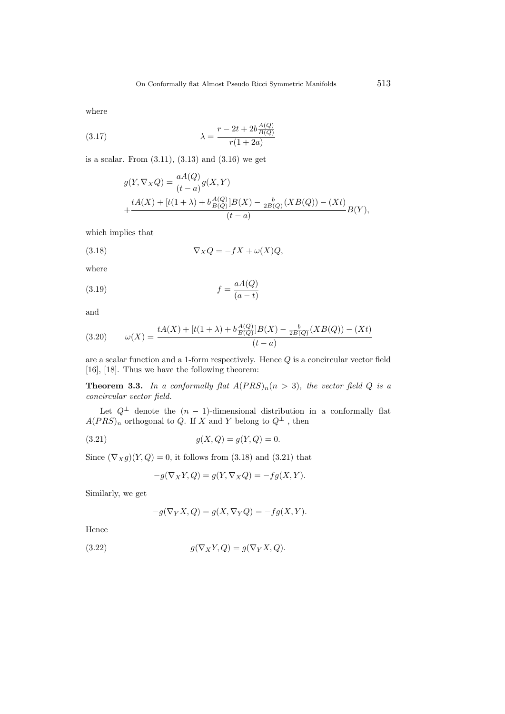where

(3.17) 
$$
\lambda = \frac{r - 2t + 2b \frac{A(Q)}{B(Q)}}{r(1 + 2a)}
$$

is a scalar. From  $(3.11)$ ,  $(3.13)$  and  $(3.16)$  we get

$$
g(Y, \nabla_X Q) = \frac{aA(Q)}{(t-a)}g(X, Y)
$$
  
+ 
$$
\frac{tA(X) + [t(1+\lambda) + b\frac{A(Q)}{B(Q)}]B(X) - \frac{b}{2B(Q)}(XB(Q)) - (Xt)}{(t-a)}B(Y),
$$

which implies that

(3.18) 
$$
\nabla_X Q = -fX + \omega(X)Q,
$$

where

$$
(3.19)\qquad \qquad f = \frac{aA(Q)}{(a-t)}
$$

and

(3.20) 
$$
\omega(X) = \frac{tA(X) + [t(1+\lambda) + b\frac{A(Q)}{B(Q)}]B(X) - \frac{b}{2B(Q)}(XB(Q)) - (Xt)}{(t-a)}
$$

are a scalar function and a 1-form respectively. Hence Q is a concircular vector field [16], [18]. Thus we have the following theorem:

**Theorem 3.3.** In a conformally flat  $A(PRS)<sub>n</sub>(n > 3)$ , the vector field Q is a concircular vector field.

Let  $Q^{\perp}$  denote the  $(n-1)$ -dimensional distribution in a conformally flat  $A(PRS)_n$  orthogonal to  $\overrightarrow{Q}$ . If X and Y belong to  $Q^{\perp}$  , then

(3.21) 
$$
g(X,Q) = g(Y,Q) = 0.
$$

Since  $(\nabla_X g)(Y,Q) = 0$ , it follows from (3.18) and (3.21) that

$$
-g(\nabla_X Y, Q) = g(Y, \nabla_X Q) = -fg(X, Y).
$$

Similarly, we get

$$
-g(\nabla_Y X, Q) = g(X, \nabla_Y Q) = -fg(X, Y).
$$

Hence

(3.22) 
$$
g(\nabla_X Y, Q) = g(\nabla_Y X, Q).
$$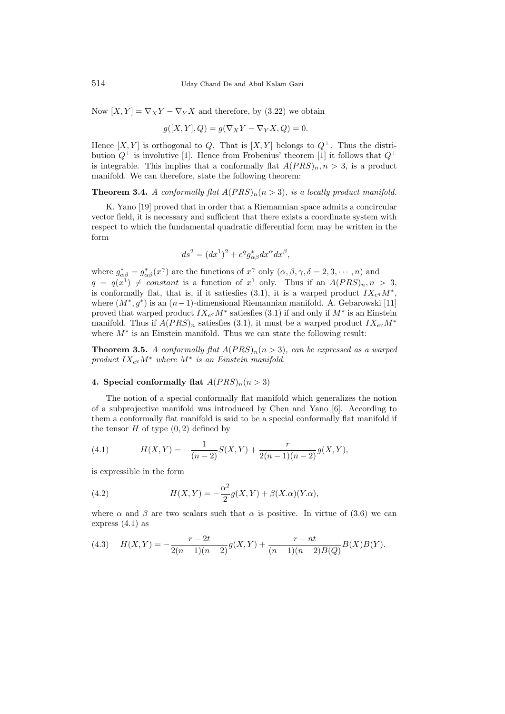Now  $[X, Y] = \nabla_X Y - \nabla_Y X$  and therefore, by (3.22) we obtain

$$
g([X,Y],Q) = g(\nabla_X Y - \nabla_Y X, Q) = 0.
$$

Hence  $[X, Y]$  is orthogonal to Q. That is  $[X, Y]$  belongs to  $Q^{\perp}$ . Thus the distribution  $Q^{\perp}$  is involutive [1]. Hence from Frobenius' theorem [1] it follows that  $Q^{\perp}$ is integrable. This implies that a conformally flat  $A(PRS)<sub>n</sub>, n > 3$ , is a product manifold. We can therefore, state the following theorem:

**Theorem 3.4.** A conformally flat  $A(PRS)<sub>n</sub>(n > 3)$ , is a locally product manifold.

K. Yano [19] proved that in order that a Riemannian space admits a concircular vector field, it is necessary and sufficient that there exists a coordinate system with respect to which the fundamental quadratic differential form may be written in the form

$$
ds^2 = (dx^1)^2 + e^q g^*_{\alpha\beta} dx^\alpha dx^\beta,
$$

where  $g_{\alpha\beta}^* = g_{\alpha\beta}^*(x^\gamma)$  are the functions of  $x^\gamma$  only  $(\alpha, \beta, \gamma, \delta = 2, 3, \cdots, n)$  and  $q = q(x^1) \neq constant$  is a function of  $x^1$  only. Thus if an  $A(PRS)_n, n > 3$ , is conformally flat, that is, if it satiesfies (3.1), it is a warped product  $IX_{e} a M^*$ , where  $(M^*, g^*)$  is an  $(n-1)$ -dimensional Riemannian manifold. A. Gebarowski [11] proved that warped product  $IX_{e} M^*$  satiesfies (3.1) if and only if  $M^*$  is an Einstein manifold. Thus if  $A(PRS)_n$  satiesfies (3.1), it must be a warped product  $IX_{e}M^*$ where  $M^*$  is an Einstein manifold. Thus we can state the following result:

**Theorem 3.5.** A conformally flat  $A(PRS)<sub>n</sub>(n > 3)$ , can be expressed as a warped product  $IX_{eq}M^*$  where  $M^*$  is an Einstein manifold.

#### 4. Special conformally flat  $A(PRS)<sub>n</sub>(n > 3)$

The notion of a special conformally flat manifold which generalizes the notion of a subprojective manifold was introduced by Chen and Yano [6]. According to them a conformally flat manifold is said to be a special conformally flat manifold if the tensor  $H$  of type  $(0, 2)$  defined by

(4.1) 
$$
H(X,Y) = -\frac{1}{(n-2)}S(X,Y) + \frac{r}{2(n-1)(n-2)}g(X,Y),
$$

is expressible in the form

(4.2) 
$$
H(X,Y) = -\frac{\alpha^2}{2}g(X,Y) + \beta(X.\alpha)(Y.\alpha),
$$

where  $\alpha$  and  $\beta$  are two scalars such that  $\alpha$  is positive. In virtue of (3.6) we can express (4.1) as

(4.3) 
$$
H(X,Y) = -\frac{r-2t}{2(n-1)(n-2)}g(X,Y) + \frac{r-nt}{(n-1)(n-2)B(Q)}B(X)B(Y).
$$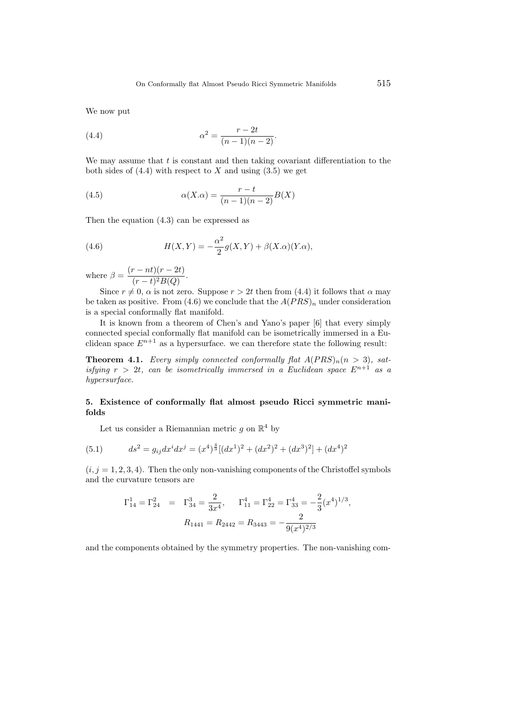We now put

(4.4) 
$$
\alpha^2 = \frac{r - 2t}{(n - 1)(n - 2)}.
$$

We may assume that  $t$  is constant and then taking covariant differentiation to the both sides of  $(4.4)$  with respect to X and using  $(3.5)$  we get

(4.5) 
$$
\alpha(X.\alpha) = \frac{r-t}{(n-1)(n-2)}B(X)
$$

Then the equation (4.3) can be expressed as

(4.6) 
$$
H(X,Y) = -\frac{\alpha^2}{2}g(X,Y) + \beta(X.\alpha)(Y.\alpha),
$$

where  $\beta = \frac{(r - nt)(r - 2t)}{(r - t)^2 P(\Omega)}$  $\frac{nv_1(r-2v)}{(r-t)^2B(Q)}.$ 

Since  $r \neq 0$ ,  $\alpha$  is not zero. Suppose  $r > 2t$  then from (4.4) it follows that  $\alpha$  may be taken as positive. From (4.6) we conclude that the  $A(PRS)_n$  under consideration is a special conformally flat manifold.

It is known from a theorem of Chen's and Yano's paper [6] that every simply connected special conformally flat manifold can be isometrically immersed in a Euclidean space  $E^{n+1}$  as a hypersurface. we can therefore state the following result:

**Theorem 4.1.** Every simply connected conformally flat  $A(PRS)<sub>n</sub>(n > 3)$ , satisfying  $r > 2t$ , can be isometrically immersed in a Euclidean space  $E^{n+1}$  as a hypersurface.

## 5. Existence of conformally flat almost pseudo Ricci symmetric manifolds

Let us consider a Riemannian metric  $g$  on  $\mathbb{R}^4$  by

(5.1) 
$$
ds^{2} = g_{ij}dx^{i}dx^{j} = (x^{4})^{\frac{4}{3}}[(dx^{1})^{2} + (dx^{2})^{2} + (dx^{3})^{2}] + (dx^{4})^{2}
$$

 $(i, j = 1, 2, 3, 4)$ . Then the only non-vanishing components of the Christoffel symbols and the curvature tensors are

$$
\Gamma_{14}^1 = \Gamma_{24}^2 = \Gamma_{34}^3 = \frac{2}{3x^4}, \quad \Gamma_{11}^4 = \Gamma_{22}^4 = \Gamma_{33}^4 = -\frac{2}{3}(x^4)^{1/3},
$$

$$
R_{1441} = R_{2442} = R_{3443} = -\frac{2}{9(x^4)^{2/3}}
$$

and the components obtained by the symmetry properties. The non-vanishing com-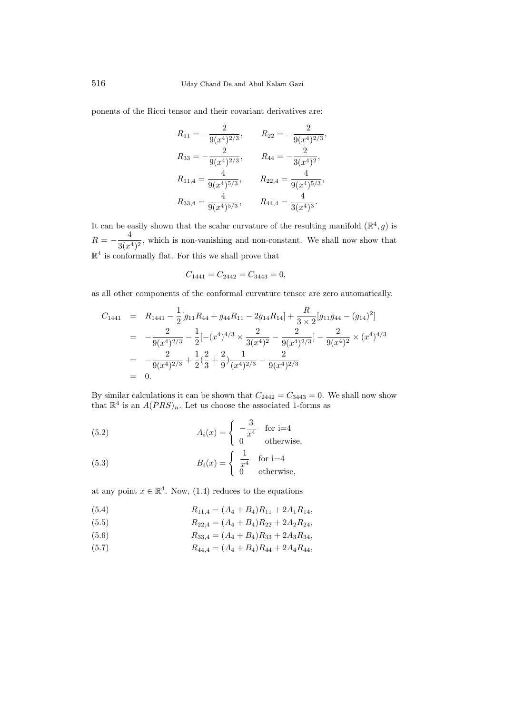ponents of the Ricci tensor and their covariant derivatives are:

$$
R_{11} = -\frac{2}{9(x^4)^{2/3}}, \t R_{22} = -\frac{2}{9(x^4)^{2/3}},
$$
  
\n
$$
R_{33} = -\frac{2}{9(x^4)^{2/3}}, \t R_{44} = -\frac{2}{3(x^4)^2},
$$
  
\n
$$
R_{11,4} = \frac{4}{9(x^4)^{5/3}}, \t R_{22,4} = \frac{4}{9(x^4)^{5/3}},
$$
  
\n
$$
R_{33,4} = \frac{4}{9(x^4)^{5/3}}, \t R_{44,4} = \frac{4}{3(x^4)^3}.
$$

It can be easily shown that the scalar curvature of the resulting manifold  $(\mathbb{R}^4, g)$  is  $R = -\frac{4}{3(4)}$  $\frac{1}{3(x^4)^2}$ , which is non-vanishing and non-constant. We shall now show that  $\mathbb{R}^4$  is conformally flat. For this we shall prove that

$$
C_{1441} = C_{2442} = C_{3443} = 0,
$$

as all other components of the conformal curvature tensor are zero automatically.

$$
C_{1441} = R_{1441} - \frac{1}{2} [g_{11}R_{44} + g_{44}R_{11} - 2g_{14}R_{14}] + \frac{R}{3 \times 2} [g_{11}g_{44} - (g_{14})^2]
$$
  
= 
$$
-\frac{2}{9(x^4)^{2/3}} - \frac{1}{2} [-(x^4)^{4/3} \times \frac{2}{3(x^4)^2} - \frac{2}{9(x^4)^{2/3}}] - \frac{2}{9(x^4)^2} \times (x^4)^{4/3}
$$
  
= 
$$
-\frac{2}{9(x^4)^{2/3}} + \frac{1}{2} (\frac{2}{3} + \frac{2}{9}) \frac{1}{(x^4)^{2/3}} - \frac{2}{9(x^4)^{2/3}}
$$
  
= 0.

By similar calculations it can be shown that  $C_{2442} = C_{3443} = 0$ . We shall now show that  $\mathbb{R}^4$  is an  $A(PRS)_n$ . Let us choose the associated 1-forms as

(5.2) 
$$
A_i(x) = \begin{cases} -\frac{3}{x^4} & \text{for } i=4\\ 0 & \text{otherwise,} \end{cases}
$$

(5.3) 
$$
B_i(x) = \begin{cases} \frac{1}{x^4} & \text{for } i=4\\ 0 & \text{otherwise,} \end{cases}
$$

at any point  $x \in \mathbb{R}^4$ . Now, (1.4) reduces to the equations

(5.4) 
$$
R_{11,4} = (A_4 + B_4)R_{11} + 2A_1R_{14},
$$

(5.5) 
$$
R_{22,4} = (A_4 + B_4)R_{22} + 2A_2R_{24},
$$

(5.6) 
$$
R_{33,4} = (A_4 + B_4)R_{33} + 2A_3R_{34},
$$

(5.7)  $R_{44,4} = (A_4 + B_4)R_{44} + 2A_4R_{44},$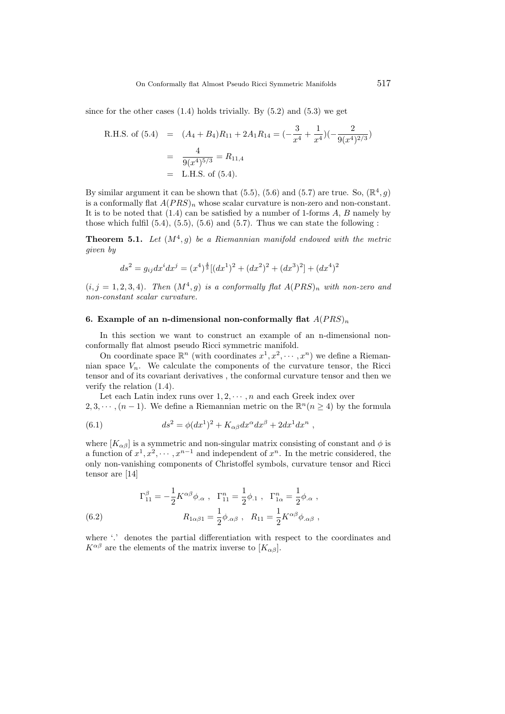since for the other cases  $(1.4)$  holds trivially. By  $(5.2)$  and  $(5.3)$  we get

R.H.S. of (5.4) = 
$$
(A_4 + B_4)R_{11} + 2A_1R_{14} = \left(-\frac{3}{x^4} + \frac{1}{x^4}\right)\left(-\frac{2}{9(x^4)^{2/3}}\right)
$$
  
=  $\frac{4}{9(x^4)^{5/3}} = R_{11,4}$   
= L.H.S. of (5.4).

By similar argument it can be shown that  $(5.5)$ ,  $(5.6)$  and  $(5.7)$  are true. So,  $(\mathbb{R}^4, g)$ is a conformally flat  $A(PRS)_n$  whose scalar curvature is non-zero and non-constant. It is to be noted that  $(1.4)$  can be satisfied by a number of 1-forms  $A, B$  namely by those which fulfil  $(5.4)$ ,  $(5.5)$ ,  $(5.6)$  and  $(5.7)$ . Thus we can state the following :

**Theorem 5.1.** Let  $(M^4, g)$  be a Riemannian manifold endowed with the metric given by

$$
ds^{2} = g_{ij}dx^{i}dx^{j} = (x^{4})^{\frac{4}{3}}[(dx^{1})^{2} + (dx^{2})^{2} + (dx^{3})^{2}] + (dx^{4})^{2}
$$

 $(i, j = 1, 2, 3, 4)$ . Then  $(M^4, g)$  is a conformally flat  $A(PRS)_n$  with non-zero and non-constant scalar curvature.

#### 6. Example of an n-dimensional non-conformally flat  $A(PRS)_n$

In this section we want to construct an example of an n-dimensional nonconformally flat almost pseudo Ricci symmetric manifold.

On coordinate space  $\mathbb{R}^n$  (with coordinates  $x^1, x^2, \dots, x^n$ ) we define a Riemannian space  $V_n$ . We calculate the components of the curvature tensor, the Ricci tensor and of its covariant derivatives , the conformal curvature tensor and then we verify the relation (1.4).

Let each Latin index runs over  $1, 2, \dots, n$  and each Greek index over 2, 3,  $\cdots$ ,  $(n-1)$ . We define a Riemannian metric on the  $\mathbb{R}^n$   $(n \geq 4)$  by the formula

(6.1) 
$$
ds^2 = \phi(dx^1)^2 + K_{\alpha\beta}dx^{\alpha}dx^{\beta} + 2dx^1dx^n,
$$

where  $[K_{\alpha\beta}]$  is a symmetric and non-singular matrix consisting of constant and  $\phi$  is a function of  $x^1, x^2, \dots, x^{n-1}$  and independent of  $x^n$ . In the metric considered, the only non-vanishing components of Christoffel symbols, curvature tensor and Ricci tensor are [14]

(6.2) 
$$
\Gamma_{11}^{\beta} = -\frac{1}{2} K^{\alpha \beta} \phi_{\alpha} , \ \Gamma_{11}^{n} = \frac{1}{2} \phi_{.1} , \ \Gamma_{1\alpha}^{n} = \frac{1}{2} \phi_{.\alpha} ,
$$

$$
R_{1\alpha\beta 1} = \frac{1}{2} \phi_{.\alpha\beta} , \ R_{11} = \frac{1}{2} K^{\alpha\beta} \phi_{.\alpha\beta} ,
$$

where '.' denotes the partial differentiation with respect to the coordinates and  $K^{\alpha\beta}$  are the elements of the matrix inverse to  $[K_{\alpha\beta}]$ .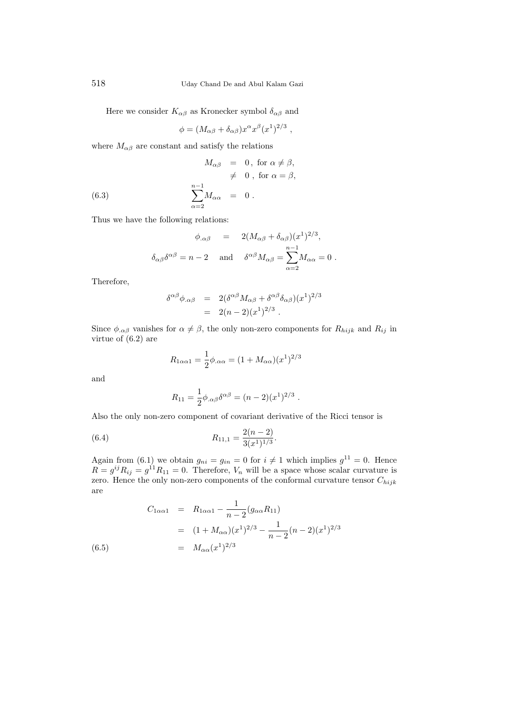Here we consider  $K_{\alpha\beta}$  as Kronecker symbol  $\delta_{\alpha\beta}$  and

$$
\phi = (M_{\alpha\beta} + \delta_{\alpha\beta})x^{\alpha}x^{\beta}(x^1)^{2/3} ,
$$

where  $M_{\alpha\beta}$  are constant and satisfy the relations

(6.3) 
$$
M_{\alpha\beta} = 0, \text{ for } \alpha \neq \beta, \n\neq 0, \text{ for } \alpha = \beta, \n\sum_{\alpha=2}^{n-1} M_{\alpha\alpha} = 0.
$$

Thus we have the following relations:

$$
\phi_{.\alpha\beta} = 2(M_{\alpha\beta} + \delta_{\alpha\beta})(x^1)^{2/3},
$$
  

$$
\delta_{\alpha\beta}\delta^{\alpha\beta} = n - 2 \text{ and } \delta^{\alpha\beta}M_{\alpha\beta} = \sum_{\alpha=2}^{n-1} M_{\alpha\alpha} = 0.
$$

Therefore,

$$
\delta^{\alpha\beta}\phi_{.\alpha\beta} = 2(\delta^{\alpha\beta}M_{\alpha\beta} + \delta^{\alpha\beta}\delta_{\alpha\beta})(x^1)^{2/3}
$$
  
=  $2(n-2)(x^1)^{2/3}$ .

Since  $\phi_{\alpha\beta}$  vanishes for  $\alpha \neq \beta$ , the only non-zero components for  $R_{hijk}$  and  $R_{ij}$  in virtue of (6.2) are

$$
R_{1\alpha\alpha 1} = \frac{1}{2}\phi_{.\alpha\alpha} = (1 + M_{\alpha\alpha})(x^{1})^{2/3}
$$

and

$$
R_{11} = \frac{1}{2} \phi_{.\alpha\beta} \delta^{\alpha\beta} = (n-2)(x^1)^{2/3}.
$$

Also the only non-zero component of covariant derivative of the Ricci tensor is

(6.4) 
$$
R_{11,1} = \frac{2(n-2)}{3(x^1)^{1/3}}.
$$

Again from (6.1) we obtain  $g_{ni} = g_{in} = 0$  for  $i \neq 1$  which implies  $g^{11} = 0$ . Hence  $R = g^{ij} R_{ij} = g^{11} R_{11} = 0$ . Therefore,  $V_n$  will be a space whose scalar curvature is zero. Hence the only non-zero components of the conformal curvature tensor  $C_{hijk}$ are

(6.5)  
\n
$$
C_{1\alpha\alpha 1} = R_{1\alpha\alpha 1} - \frac{1}{n-2} (g_{\alpha\alpha} R_{11})
$$
\n
$$
= (1 + M_{\alpha\alpha}) (x^1)^{2/3} - \frac{1}{n-2} (n-2) (x^1)^{2/3}
$$
\n
$$
= M_{\alpha\alpha} (x^1)^{2/3}
$$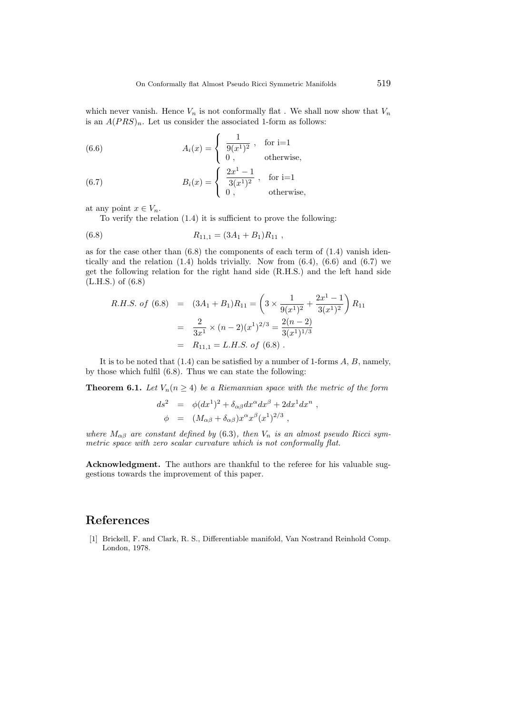which never vanish. Hence  $V_n$  is not conformally flat. We shall now show that  $V_n$ is an  $A(PRS)<sub>n</sub>$ . Let us consider the associated 1-form as follows:

(6.6) 
$$
A_i(x) = \begin{cases} \frac{1}{9(x^1)^2}, & \text{for } i=1\\ 0, & \text{otherwise,} \end{cases}
$$

(6.7) 
$$
B_i(x) = \begin{cases} \frac{2x^1 - 1}{3(x^1)^2}, & \text{for } i = 1\\ 0, & \text{otherwise,} \end{cases}
$$

at any point  $x \in V_n$ .

To verify the relation (1.4) it is sufficient to prove the following:

$$
(6.8) \t R11,1 = (3A1 + B1)R11,
$$

as for the case other than  $(6.8)$  the components of each term of  $(1.4)$  vanish identically and the relation  $(1.4)$  holds trivially. Now from  $(6.4)$ ,  $(6.6)$  and  $(6.7)$  we get the following relation for the right hand side (R.H.S.) and the left hand side (L.H.S.) of (6.8)

$$
R.H.S. \text{ of } (6.8) = (3A_1 + B_1)R_{11} = \left(3 \times \frac{1}{9(x^1)^2} + \frac{2x^1 - 1}{3(x^1)^2}\right)R_{11}
$$

$$
= \frac{2}{3x^1} \times (n-2)(x^1)^{2/3} = \frac{2(n-2)}{3(x^1)^{1/3}}
$$

$$
= R_{11,1} = L.H.S. \text{ of } (6.8) .
$$

It is to be noted that  $(1.4)$  can be satisfied by a number of 1-forms A, B, namely, by those which fulfil (6.8). Thus we can state the following:

**Theorem 6.1.** Let  $V_n(n \geq 4)$  be a Riemannian space with the metric of the form

$$
ds^2 = \phi(dx^1)^2 + \delta_{\alpha\beta} dx^{\alpha} dx^{\beta} + 2dx^1 dx^n
$$
  

$$
\phi = (M_{\alpha\beta} + \delta_{\alpha\beta}) x^{\alpha} x^{\beta} (x^1)^{2/3},
$$

,

where  $M_{\alpha\beta}$  are constant defined by (6.3), then  $V_n$  is an almost pseudo Ricci symmetric space with zero scalar curvature which is not conformally flat.

Acknowledgment. The authors are thankful to the referee for his valuable suggestions towards the improvement of this paper.

# References

[1] Brickell, F. and Clark, R. S., Differentiable manifold, Van Nostrand Reinhold Comp. London, 1978.